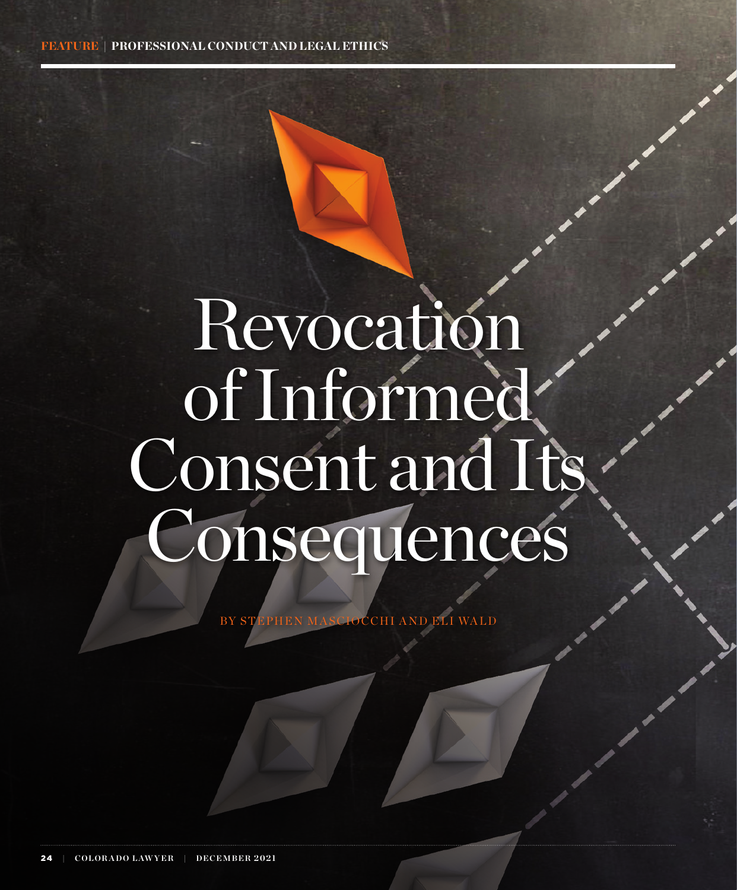# Revocation of Informed Consent and Its Consequences

BY STEPHEN MASCIOCCHI AND ELI WALD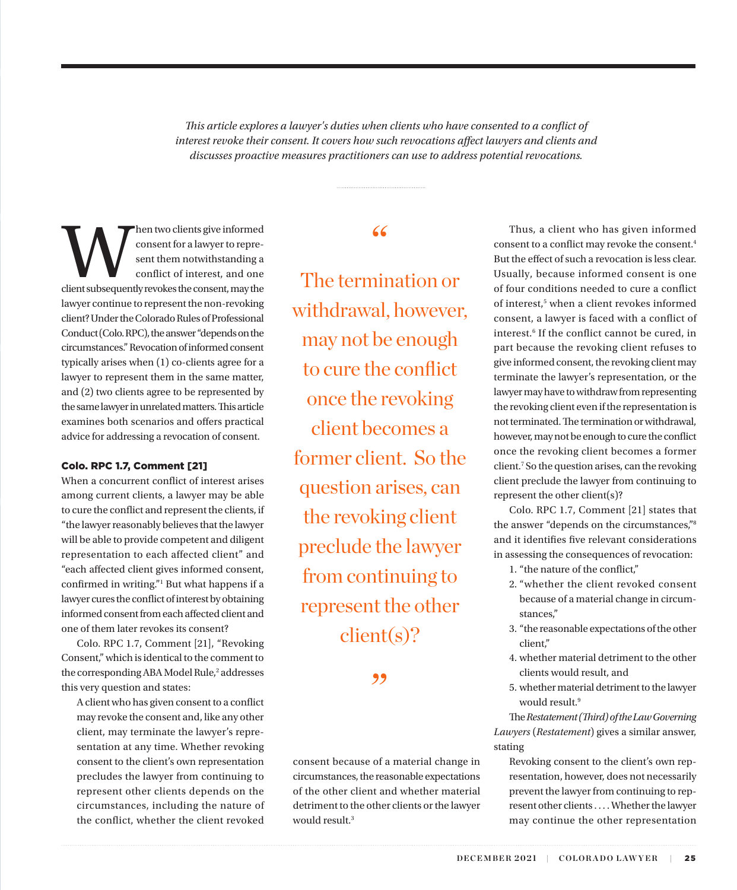<span id="page-1-0"></span>*This article explores a lawyer's duties when clients who have consented to a conflict of interest revoke their consent. It covers how such revocations affect lawyers and clients and discusses proactive measures practitioners can use to address potential revocations.* 

Maturation is give informed<br>
consent for a lawyer to repre-<br>
sent them notwithstanding a<br>
conflict of interest, and one<br>
client subsequently revokes the consent, may the consent for a lawyer to represent them notwithstanding a conflict of interest, and one lawyer continue to represent the non-revoking client? Under the Colorado Rules of Professional Conduct (Colo. RPC), the answer "depends on the circumstances." Revocation of informed consent typically arises when (1) co-clients agree for a lawyer to represent them in the same matter, and (2) two clients agree to be represented by the same lawyer in unrelated matters. This article examines both scenarios and offers practical advice for addressing a revocation of consent.

#### Colo. RPC 1.7, Comment [21]

When a concurrent conflict of interest arises among current clients, a lawyer may be able to cure the conflict and represent the clients, if "the lawyer reasonably believes that the lawyer will be able to provide competent and diligent representation to each affected client" and "each affected client gives informed consent, confirmed in writing."[1](#page-6-0) But what happens if a lawyer cures the conflict of interest by obtaining informed consent from each affected client and one of them later revokes its consent?

Colo. RPC 1.7, Comment [21], "Revoking Consent," which is identical to the comment to the corresponding ABA Model Rule,<sup>2</sup> addresses this very question and states:

A client who has given consent to a conflict may revoke the consent and, like any other client, may terminate the lawyer's representation at any time. Whether revoking consent to the client's own representation precludes the lawyer from continuing to represent other clients depends on the circumstances, including the nature of the conflict, whether the client revoked

# "

The termination or withdrawal, however, may not be enough to cure the conflict once the revoking client becomes a former client. So the question arises, can the revoking client preclude the lawyer from continuing to represent the other client(s)?

"

consent because of a material change in circumstances, the reasonable expectations of the other client and whether material detriment to the other clients or the lawyer would result.<sup>[3](#page-6-0)</sup>

Thus, a client who has given informed consent to a conflict may revoke the consent.[4](#page-6-0) But the effect of such a revocation is less clear. Usually, because informed consent is one of four conditions needed to cure a conflict of interest,<sup>5</sup> when a client revokes informed consent, a lawyer is faced with a conflict of interest.<sup>6</sup> If the conflict cannot be cured, in part because the revoking client refuses to give informed consent, the revoking client may terminate the lawyer's representation, or the lawyer may have to withdraw from representing the revoking client even if the representation is not terminated. The termination or withdrawal, however, may not be enough to cure the conflict once the revoking client becomes a former client[.7](#page-6-0) So the question arises, can the revoking client preclude the lawyer from continuing to represent the other client(s)?

Colo. RPC 1.7, Comment [21] states that the answer "depends on the circumstances,["8](#page-6-0) and it identifies five relevant considerations in assessing the consequences of revocation:

1. "the nature of the conflict,"

- 2. "whether the client revoked consent because of a material change in circumstances,"
- 3. "the reasonable expectations of the other client,"
- 4. whether material detriment to the other clients would result, and
- 5. whether material detriment to the lawyer would result.<sup>9</sup>

The *Restatement (Third) of the Law Governing Lawyers* (*Restatement*) gives a similar answer, stating

Revoking consent to the client's own representation, however, does not necessarily prevent the lawyer from continuing to represent other clients . . . . Whether the lawyer may continue the other representation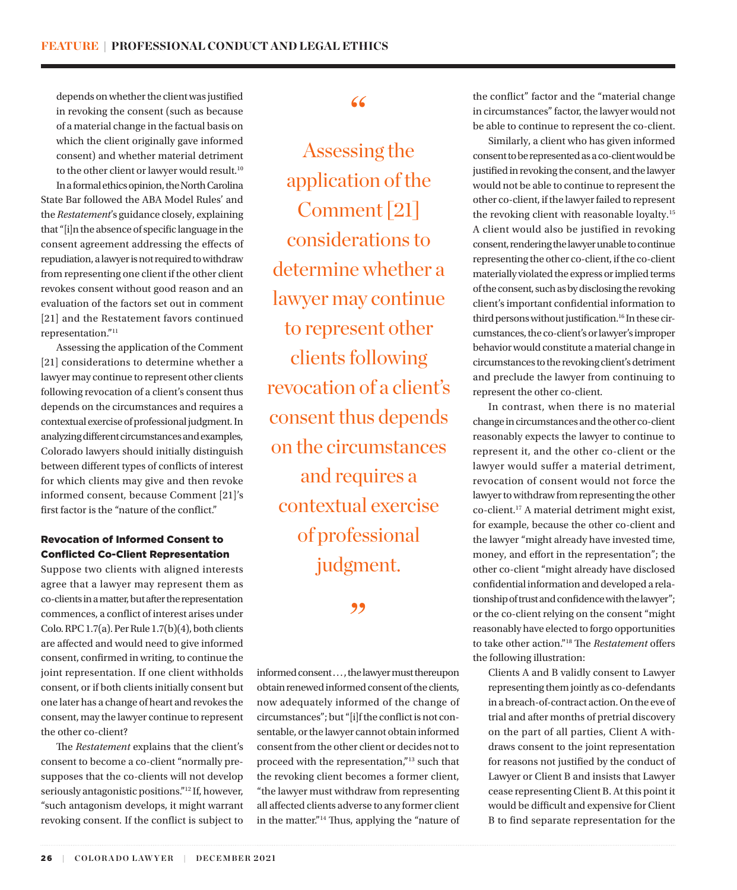<span id="page-2-0"></span>depends on whether the client was justified in revoking the consent (such as because of a material change in the factual basis on which the client originally gave informed consent) and whether material detriment to the other client or lawyer would result.<sup>[10](#page-6-0)</sup> In a formal ethics opinion, the North Carolina State Bar followed the ABA Model Rules' and the *Restatement*'s guidance closely, explaining that "[i]n the absence of specific language in the consent agreement addressing the effects of repudiation, a lawyer is not required to withdraw from representing one client if the other client revokes consent without good reason and an evaluation of the factors set out in comment [21] and the Restatement favors continued representation."[11](#page-6-0)

Assessing the application of the Comment [21] considerations to determine whether a lawyer may continue to represent other clients following revocation of a client's consent thus depends on the circumstances and requires a contextual exercise of professional judgment. In analyzing different circumstances and examples, Colorado lawyers should initially distinguish between different types of conflicts of interest for which clients may give and then revoke informed consent, because Comment [21]'s first factor is the "nature of the conflict."

#### Revocation of Informed Consent to Conflicted Co-Client Representation

Suppose two clients with aligned interests agree that a lawyer may represent them as co-clients in a matter, but after the representation commences, a conflict of interest arises under Colo. RPC 1.7(a). Per Rule 1.7(b)(4), both clients are affected and would need to give informed consent, confirmed in writing, to continue the joint representation. If one client withholds consent, or if both clients initially consent but one later has a change of heart and revokes the consent, may the lawyer continue to represent the other co-client?

The *Restatement* explains that the client's consent to become a co-client "normally presupposes that the co-clients will not develop seriously antagonistic positions."[12](#page-6-0) If, however, "such antagonism develops, it might warrant revoking consent. If the conflict is subject to

# "

Assessing the application of the Comment [21] considerations to determine whether a lawyer may continue to represent other clients following revocation of a client's consent thus depends on the circumstances and requires a contextual exercise of professional judgment.

#### ,,

informed consent . . . , the lawyer must thereupon obtain renewed informed consent of the clients, now adequately informed of the change of circumstances"; but "[i]f the conflict is not consentable, or the lawyer cannot obtain informed consent from the other client or decides not to proceed with the representation,["13](#page-6-0) such that the revoking client becomes a former client, "the lawyer must withdraw from representing all affected clients adverse to any former client in the matter."[14](#page-6-0) Thus, applying the "nature of the conflict" factor and the "material change in circumstances" factor, the lawyer would not be able to continue to represent the co-client.

Similarly, a client who has given informed consent to be represented as a co-client would be justified in revoking the consent, and the lawyer would not be able to continue to represent the other co-client, if the lawyer failed to represent the revoking client with reasonable loyalty.[15](#page-6-0) A client would also be justified in revoking consent, rendering the lawyer unable to continue representing the other co-client, if the co-client materially violated the express or implied terms of the consent, such as by disclosing the revoking client's important confidential information to third persons without justification.<sup>16</sup> In these circumstances, the co-client's or lawyer's improper behavior would constitute a material change in circumstances to the revoking client's detriment and preclude the lawyer from continuing to represent the other co-client.

In contrast, when there is no material change in circumstances and the other co-client reasonably expects the lawyer to continue to represent it, and the other co-client or the lawyer would suffer a material detriment, revocation of consent would not force the lawyer to withdraw from representing the other co-client.[17](#page-6-0) A material detriment might exist, for example, because the other co-client and the lawyer "might already have invested time, money, and effort in the representation"; the other co-client "might already have disclosed confidential information and developed a relationship of trust and confidence with the lawyer"; or the co-client relying on the consent "might reasonably have elected to forgo opportunities to take other action."[18](#page-6-0) The *Restatement* offers the following illustration:

Clients A and B validly consent to Lawyer representing them jointly as co-defendants in a breach-of-contract action. On the eve of trial and after months of pretrial discovery on the part of all parties, Client A withdraws consent to the joint representation for reasons not justified by the conduct of Lawyer or Client B and insists that Lawyer cease representing Client B. At this point it would be difficult and expensive for Client B to find separate representation for the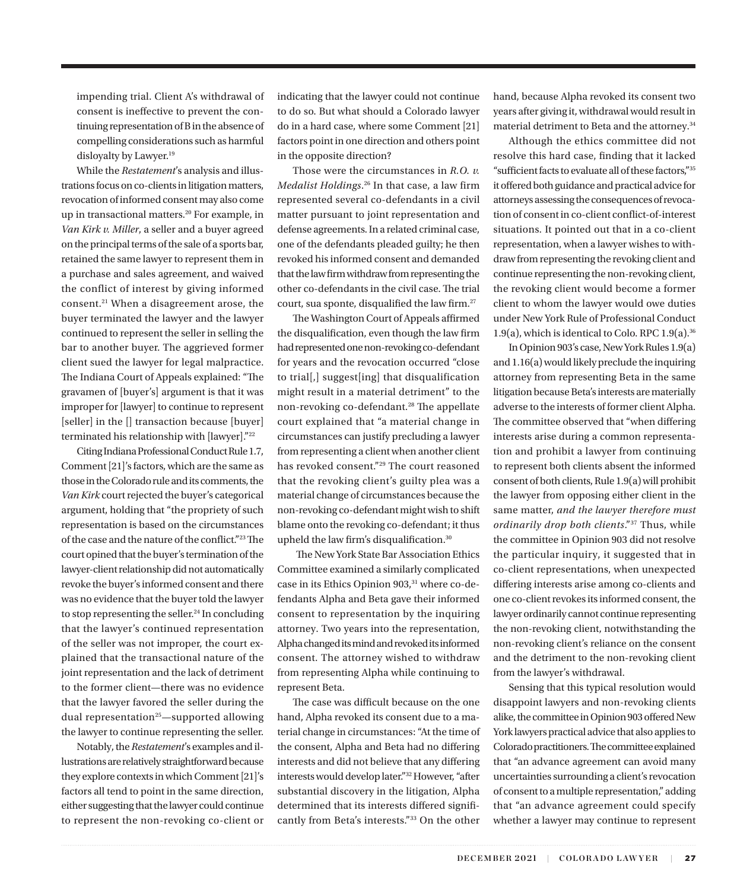<span id="page-3-0"></span>impending trial. Client A's withdrawal of consent is ineffective to prevent the continuing representation of B in the absence of compelling considerations such as harmful disloyalty by Lawyer.<sup>19</sup>

While the *Restatement*'s analysis and illustrations focus on co-clients in litigation matters, revocation of informed consent may also come up in transactional matters.[20](#page-6-0) For example, in *Van Kirk v. Miller*, a seller and a buyer agreed on the principal terms of the sale of a sports bar, retained the same lawyer to represent them in a purchase and sales agreement, and waived the conflict of interest by giving informed consent[.21](#page-7-0) When a disagreement arose, the buyer terminated the lawyer and the lawyer continued to represent the seller in selling the bar to another buyer. The aggrieved former client sued the lawyer for legal malpractice. The Indiana Court of Appeals explained: "The gravamen of [buyer's] argument is that it was improper for [lawyer] to continue to represent [seller] in the [] transaction because [buyer] terminated his relationship with [lawyer]."[22](#page-7-0)

Citing Indiana Professional Conduct Rule 1.7, Comment [21]'s factors, which are the same as those in the Colorado rule and its comments, the *Van Kirk* court rejected the buyer's categorical argument, holding that "the propriety of such representation is based on the circumstances of the case and the nature of the conflict."[23](#page-7-0) The court opined that the buyer's termination of the lawyer-client relationship did not automatically revoke the buyer's informed consent and there was no evidence that the buyer told the lawyer to stop representing the seller. $24$  In concluding that the lawyer's continued representation of the seller was not improper, the court explained that the transactional nature of the joint representation and the lack of detriment to the former client—there was no evidence that the lawyer favored the seller during the dual representation<sup>[25](#page-7-0)</sup>—supported allowing the lawyer to continue representing the seller.

Notably, the *Restatement*'s examples and illustrations are relatively straightforward because they explore contexts in which Comment [21]'s factors all tend to point in the same direction, either suggesting that the lawyer could continue to represent the non-revoking co-client or indicating that the lawyer could not continue to do so. But what should a Colorado lawyer do in a hard case, where some Comment [21] factors point in one direction and others point in the opposite direction?

Those were the circumstances in *R.O. v. Medalist Holdings*. [26](#page-7-0) In that case, a law firm represented several co-defendants in a civil matter pursuant to joint representation and defense agreements. In a related criminal case, one of the defendants pleaded guilty; he then revoked his informed consent and demanded that the law firm withdraw from representing the other co-defendants in the civil case. The trial court, sua sponte, disqualified the law firm[.27](#page-7-0)

The Washington Court of Appeals affirmed the disqualification, even though the law firm had represented one non-revoking co-defendant for years and the revocation occurred "close to trial[,] suggest[ing] that disqualification might result in a material detriment" to the non-revoking co-defendant.<sup>28</sup> The appellate court explained that "a material change in circumstances can justify precluding a lawyer from representing a client when another client has revoked consent."[29](#page-7-0) The court reasoned that the revoking client's guilty plea was a material change of circumstances because the non-revoking co-defendant might wish to shift blame onto the revoking co-defendant; it thus upheld the law firm's disqualification.<sup>[30](#page-7-0)</sup>

 The New York State Bar Association Ethics Committee examined a similarly complicated case in its Ethics Opinion 903,<sup>31</sup> where co-defendants Alpha and Beta gave their informed consent to representation by the inquiring attorney. Two years into the representation, Alpha changed its mind and revoked its informed consent. The attorney wished to withdraw from representing Alpha while continuing to represent Beta.

The case was difficult because on the one hand, Alpha revoked its consent due to a material change in circumstances: "At the time of the consent, Alpha and Beta had no differing interests and did not believe that any differing interests would develop later.["32](#page-7-0) However, "after substantial discovery in the litigation, Alpha determined that its interests differed significantly from Beta's interests."[33](#page-7-0) On the other hand, because Alpha revoked its consent two years after giving it, withdrawal would result in material detriment to Beta and the attorney.[34](#page-7-0)

Although the ethics committee did not resolve this hard case, finding that it lacked "sufficient facts to evaluate all of these factors,"[35](#page-7-0) it offered both guidance and practical advice for attorneys assessing the consequences of revocation of consent in co-client conflict-of-interest situations. It pointed out that in a co-client representation, when a lawyer wishes to withdraw from representing the revoking client and continue representing the non-revoking client, the revoking client would become a former client to whom the lawyer would owe duties under New York Rule of Professional Conduct 1.9(a), which is identical to Colo. RPC  $1.9(a).$ <sup>[36](#page-7-0)</sup>

In Opinion 903's case, New York Rules 1.9(a) and 1.16(a) would likely preclude the inquiring attorney from representing Beta in the same litigation because Beta's interests are materially adverse to the interests of former client Alpha. The committee observed that "when differing interests arise during a common representation and prohibit a lawyer from continuing to represent both clients absent the informed consent of both clients, Rule 1.9(a) will prohibit the lawyer from opposing either client in the same matter, *and the lawyer therefore must ordinarily drop both clients*."[37](#page-7-0) Thus, while the committee in Opinion 903 did not resolve the particular inquiry, it suggested that in co-client representations, when unexpected differing interests arise among co-clients and one co-client revokes its informed consent, the lawyer ordinarily cannot continue representing the non-revoking client, notwithstanding the non-revoking client's reliance on the consent and the detriment to the non-revoking client from the lawyer's withdrawal.

Sensing that this typical resolution would disappoint lawyers and non-revoking clients alike, the committee in Opinion 903 offered New York lawyers practical advice that also applies to Colorado practitioners. The committee explained that "an advance agreement can avoid many uncertainties surrounding a client's revocation of consent to a multiple representation," adding that "an advance agreement could specify whether a lawyer may continue to represent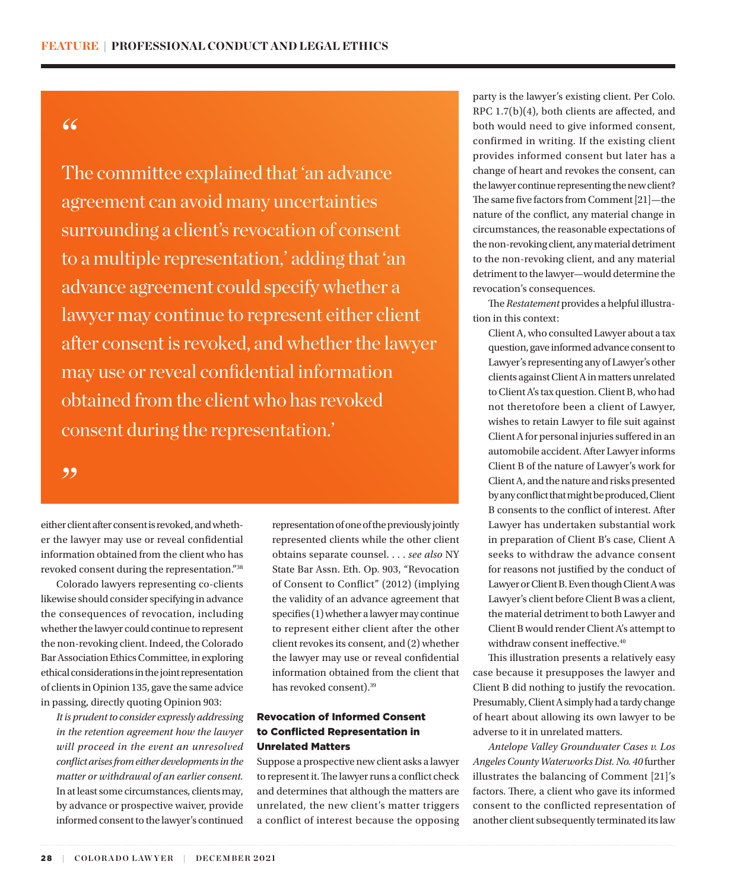# <span id="page-4-0"></span>"

The committee explained that 'an advance agreement can avoid many uncertainties surrounding a client's revocation of consent to a multiple representation,' adding that 'an advance agreement could specify whether a lawyer may continue to represent either client after consent is revoked, and whether the lawyer may use or reveal confidential information obtained from the client who has revoked consent during the representation.'

#### ,,

either client after consent is revoked, and whether the lawyer may use or reveal confidential information obtained from the client who has revoked consent during the representation.["38](#page-7-0) 

Colorado lawyers representing co-clients likewise should consider specifying in advance the consequences of revocation, including whether the lawyer could continue to represent the non-revoking client. Indeed, the Colorado Bar Association Ethics Committee, in exploring ethical considerations in the joint representation of clients in Opinion 135, gave the same advice in passing, directly quoting Opinion 903:

*It is prudent to consider expressly addressing in the retention agreement how the lawyer will proceed in the event an unresolved conflict arises from either developments in the matter or withdrawal of an earlier consent.*  In at least some circumstances, clients may, by advance or prospective waiver, provide informed consent to the lawyer's continued

representation of one of the previously jointly represented clients while the other client obtains separate counsel. . . . *see also* NY State Bar Assn. Eth. Op. 903, "Revocation of Consent to Conflict" (2012) (implying the validity of an advance agreement that specifies (1) whether a lawyer may continue to represent either client after the other client revokes its consent, and (2) whether the lawyer may use or reveal confidential information obtained from the client that has revoked consent)[.39](#page-7-0)

#### Revocation of Informed Consent to Conflicted Representation in Unrelated Matters

Suppose a prospective new client asks a lawyer to represent it. The lawyer runs a conflict check and determines that although the matters are unrelated, the new client's matter triggers a conflict of interest because the opposing

party is the lawyer's existing client. Per Colo. RPC 1.7(b)(4), both clients are affected, and both would need to give informed consent, confirmed in writing. If the existing client provides informed consent but later has a change of heart and revokes the consent, can the lawyer continue representing the new client? The same five factors from Comment [21]—the nature of the conflict, any material change in circumstances, the reasonable expectations of the non-revoking client, any material detriment to the non-revoking client, and any material detriment to the lawyer—would determine the revocation's consequences.

The *Restatement* provides a helpful illustration in this context:

Client A, who consulted Lawyer about a tax question, gave informed advance consent to Lawyer's representing any of Lawyer's other clients against Client A in matters unrelated to Client A's tax question. Client B, who had not theretofore been a client of Lawyer, wishes to retain Lawyer to file suit against Client A for personal injuries suffered in an automobile accident. After Lawyer informs Client B of the nature of Lawyer's work for Client A, and the nature and risks presented by any conflict that might be produced, Client B consents to the conflict of interest. After Lawyer has undertaken substantial work in preparation of Client B's case, Client A seeks to withdraw the advance consent for reasons not justified by the conduct of Lawyer or Client B. Even though Client A was Lawyer's client before Client B was a client, the material detriment to both Lawyer and Client B would render Client A's attempt to withdraw consent ineffective.<sup>40</sup>

This illustration presents a relatively easy case because it presupposes the lawyer and Client B did nothing to justify the revocation. Presumably, Client A simply had a tardy change of heart about allowing its own lawyer to be adverse to it in unrelated matters.

*Antelope Valley Groundwater Cases v. Los Angeles County Waterworks Dist. No. 40* further illustrates the balancing of Comment [21]'s factors. There, a client who gave its informed consent to the conflicted representation of another client subsequently terminated its law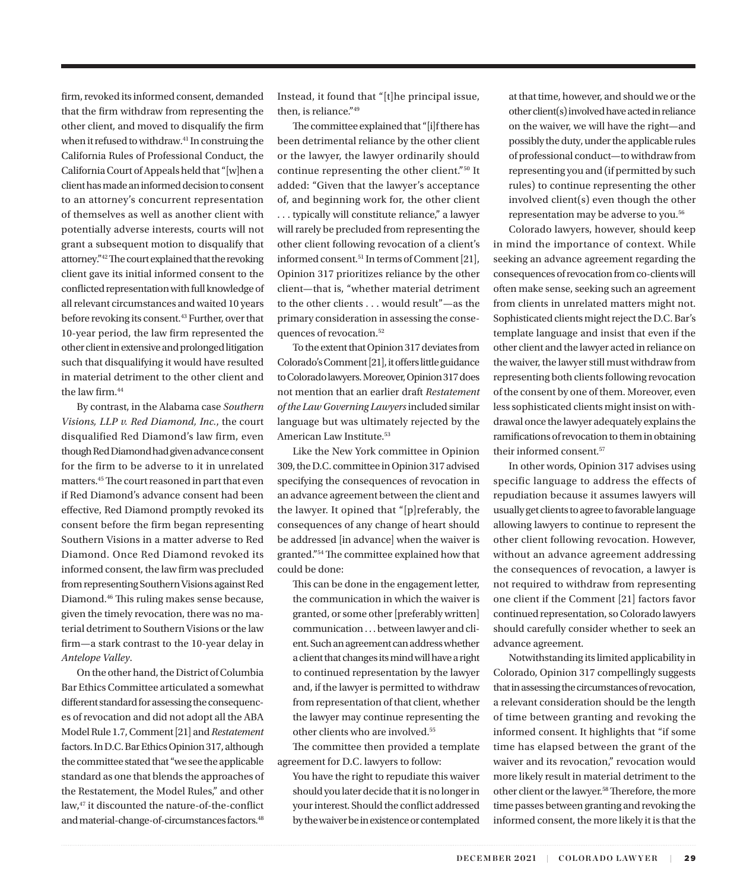<span id="page-5-0"></span>firm, revoked its informed consent, demanded that the firm withdraw from representing the other client, and moved to disqualify the firm when it refused to withdraw.<sup>41</sup> In construing the California Rules of Professional Conduct, the California Court of Appeals held that "[w]hen a client has made an informed decision to consent to an attorney's concurrent representation of themselves as well as another client with potentially adverse interests, courts will not grant a subsequent motion to disqualify that attorney.["42](#page-7-0) The court explained that the revoking client gave its initial informed consent to the conflicted representation with full knowledge of all relevant circumstances and waited 10 years before revoking its consent.<sup>43</sup> Further, over that 10-year period, the law firm represented the other client in extensive and prolonged litigation such that disqualifying it would have resulted in material detriment to the other client and the law firm.<sup>44</sup>

By contrast, in the Alabama case *Southern Visions, LLP v. Red Diamond, Inc.*, the court disqualified Red Diamond's law firm, even though Red Diamond had given advance consent for the firm to be adverse to it in unrelated matters[.45](#page-7-0) The court reasoned in part that even if Red Diamond's advance consent had been effective, Red Diamond promptly revoked its consent before the firm began representing Southern Visions in a matter adverse to Red Diamond. Once Red Diamond revoked its informed consent, the law firm was precluded from representing Southern Visions against Red Diamond.[46](#page-7-0) This ruling makes sense because, given the timely revocation, there was no material detriment to Southern Visions or the law firm—a stark contrast to the 10-year delay in *Antelope Valley*.

On the other hand, the District of Columbia Bar Ethics Committee articulated a somewhat different standard for assessing the consequences of revocation and did not adopt all the ABA Model Rule 1.7, Comment [21] and *Restatement* factors. In D.C. Bar Ethics Opinion 317, although the committee stated that "we see the applicable standard as one that blends the approaches of the Restatement, the Model Rules," and other law,[47](#page-7-0) it discounted the nature-of-the-conflict and material-change-of-circumstances factors.<sup>48</sup> Instead, it found that "[t]he principal issue, then, is reliance.["49](#page-7-0)

The committee explained that "[i]f there has been detrimental reliance by the other client or the lawyer, the lawyer ordinarily should continue representing the other client."[50](#page-7-0) It added: "Given that the lawyer's acceptance of, and beginning work for, the other client . . . typically will constitute reliance," a lawyer will rarely be precluded from representing the other client following revocation of a client's informed consent.[51](#page-7-0) In terms of Comment [21], Opinion 317 prioritizes reliance by the other client—that is, "whether material detriment to the other clients . . . would result"—as the primary consideration in assessing the consequences of revocation.[52](#page-7-0)

To the extent that Opinion 317 deviates from Colorado's Comment [21], it offers little guidance to Colorado lawyers. Moreover, Opinion 317 does not mention that an earlier draft *Restatement of the Law Governing Lawyers* included similar language but was ultimately rejected by the American Law Institute.<sup>53</sup>

Like the New York committee in Opinion 309, the D.C. committee in Opinion 317 advised specifying the consequences of revocation in an advance agreement between the client and the lawyer. It opined that "[p]referably, the consequences of any change of heart should be addressed [in advance] when the waiver is granted.["54](#page-7-0) The committee explained how that could be done:

This can be done in the engagement letter, the communication in which the waiver is granted, or some other [preferably written] communication . . . between lawyer and client. Such an agreement can address whether a client that changes its mind will have a right to continued representation by the lawyer and, if the lawyer is permitted to withdraw from representation of that client, whether the lawyer may continue representing the other clients who are involved.[55](#page-7-0)

The committee then provided a template agreement for D.C. lawyers to follow:

You have the right to repudiate this waiver should you later decide that it is no longer in your interest. Should the conflict addressed by the waiver be in existence or contemplated at that time, however, and should we or the other client(s) involved have acted in reliance on the waiver, we will have the right—and possibly the duty, under the applicable rules of professional conduct—to withdraw from representing you and (if permitted by such rules) to continue representing the other involved client(s) even though the other representation may be adverse to you.[56](#page-7-0)

Colorado lawyers, however, should keep in mind the importance of context. While seeking an advance agreement regarding the consequences of revocation from co-clients will often make sense, seeking such an agreement from clients in unrelated matters might not. Sophisticated clients might reject the D.C. Bar's template language and insist that even if the other client and the lawyer acted in reliance on the waiver, the lawyer still must withdraw from representing both clients following revocation of the consent by one of them. Moreover, even less sophisticated clients might insist on withdrawal once the lawyer adequately explains the ramifications of revocation to them in obtaining their informed consent.<sup>[57](#page-7-0)</sup>

In other words, Opinion 317 advises using specific language to address the effects of repudiation because it assumes lawyers will usually get clients to agree to favorable language allowing lawyers to continue to represent the other client following revocation. However, without an advance agreement addressing the consequences of revocation, a lawyer is not required to withdraw from representing one client if the Comment [21] factors favor continued representation, so Colorado lawyers should carefully consider whether to seek an advance agreement.

Notwithstanding its limited applicability in Colorado, Opinion 317 compellingly suggests that in assessing the circumstances of revocation, a relevant consideration should be the length of time between granting and revoking the informed consent. It highlights that "if some time has elapsed between the grant of the waiver and its revocation," revocation would more likely result in material detriment to the other client or the lawyer.[58](#page-7-0) Therefore, the more time passes between granting and revoking the informed consent, the more likely it is that the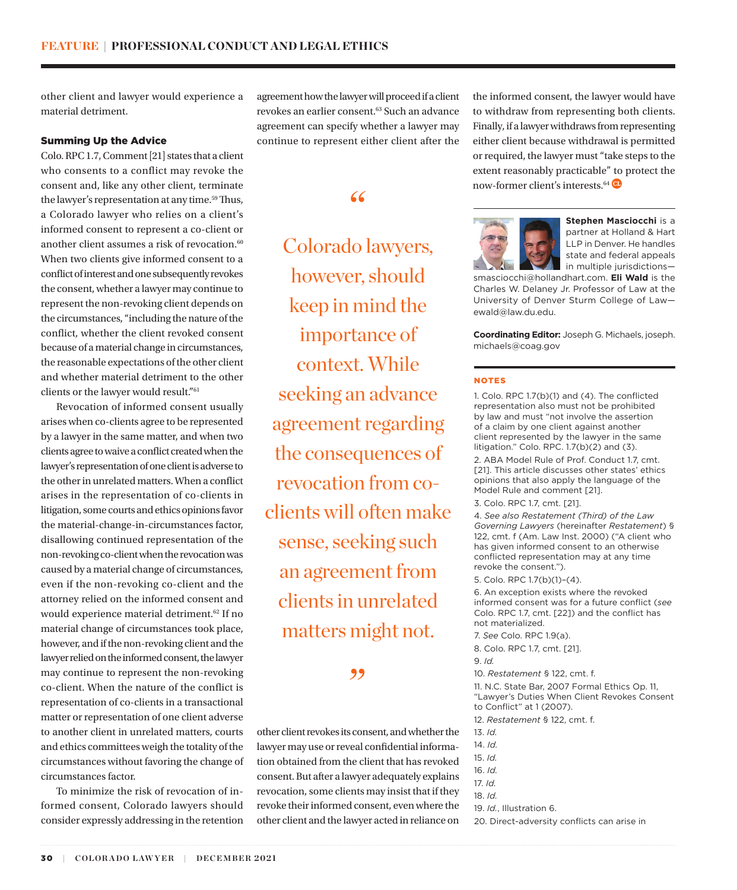<span id="page-6-0"></span>other client and lawyer would experience a material detriment.

#### Summing Up the Advice

Colo. RPC 1.7, Comment [21] states that a client who consents to a conflict may revoke the consent and, like any other client, terminate the lawyer's representation at any time.<sup>59</sup> Thus, a Colorado lawyer who relies on a client's informed consent to represent a co-client or another client assumes a risk of revocation.<sup>[60](#page-7-0)</sup> When two clients give informed consent to a conflict of interest and one subsequently revokes the consent, whether a lawyer may continue to represent the non-revoking client depends on the circumstances, "including the nature of the conflict, whether the client revoked consent because of a material change in circumstances, the reasonable expectations of the other client and whether material detriment to the other clients or the lawyer would result.["61](#page-7-0)

Revocation of informed consent usually arises when co-clients agree to be represented by a lawyer in the same matter, and when two clients agree to waive a conflict created when the lawyer's representation of one client is adverse to the other in unrelated matters. When a conflict arises in the representation of co-clients in litigation, some courts and ethics opinions favor the material-change-in-circumstances factor, disallowing continued representation of the non-revoking co-client when the revocation was caused by a material change of circumstances, even if the non-revoking co-client and the attorney relied on the informed consent and would experience material detriment.<sup>[62](#page-7-0)</sup> If no material change of circumstances took place, however, and if the non-revoking client and the lawyer relied on the informed consent, the lawyer may continue to represent the non-revoking co-client. When the nature of the conflict is representation of co-clients in a transactional matter or representation of one client adverse to another client in unrelated matters, courts and ethics committees weigh the totality of the circumstances without favoring the change of circumstances factor.

To minimize the risk of revocation of informed consent, Colorado lawyers should consider expressly addressing in the retention

agreement how the lawyer will proceed if a client revokes an earlier consent.<sup>63</sup> Such an advance agreement can specify whether a lawyer may continue to represent either client after the

## "

Colorado lawyers, however, should keep in mind the importance of context. While seeking an advance agreement regarding the consequences of revocation from coclients will often make sense, seeking such an agreement from clients in unrelated matters might not.

### ,,

other client revokes its consent, and whether the lawyer may use or reveal confidential information obtained from the client that has revoked consent. But after a lawyer adequately explains revocation, some clients may insist that if they revoke their informed consent, even where the other client and the lawyer acted in reliance on

the informed consent, the lawyer would have to withdraw from representing both clients. Finally, if a lawyer withdraws from representing either client because withdrawal is permitted or required, the lawyer must "take steps to the extent reasonably practicable" to protect the now-former client's interests.<sup>[64](#page-7-0)</sup>



**Stephen Masciocchi** is a partner at Holland & Hart LLP in Denver. He handles state and federal appeals in multiple jurisdictions—

smasciocchi@hollandhart.com. **Eli Wald** is the Charles W. Delaney Jr. Professor of Law at the University of Denver Sturm College of Law ewald@law.du.edu.

**Coordinating Editor:** Joseph G. Michaels, joseph. michaels@coag.gov

#### NOTES

1. Colo. RPC 1.7(b)(1) and (4). The conflicted representation also must not be prohibited by law and must "not involve the assertion of a claim by one client against another client represented by the lawyer in the same litigation." Colo. RPC. 1.7(b)(2) and (3).

[2](#page-1-0). ABA Model Rule of Prof. Conduct 1.7, cmt. [21]. This article discusses other states' ethics opinions that also apply the language of the Model Rule and comment [21].

[3.](#page-1-0) Colo. RPC 1.7, cmt. [21].

[4](#page-1-0). *See also Restatement (Third) of the Law Governing Lawyers* (hereinafter *Restatement*) § 122, cmt. f (Am. Law Inst. 2000) ("A client who has given informed consent to an otherwise conflicted representation may at any time revoke the consent.").

[5.](#page-1-0) Colo. RPC 1.7(b)(1)–(4).

[6.](#page-1-0) An exception exists where the revoked informed consent was for a future conflict (*see* Colo. RPC 1.7, cmt. [22]) and the conflict has not materialized.

[7.](#page-1-0) *See* Colo. RPC 1.9(a).

[8.](#page-1-0) Colo. RPC 1.7, cmt. [21].

[9.](#page-1-0) *Id.* 

[10.](#page-2-0) *Restatement* § 122, cmt. f.

[11](#page-2-0). N.C. State Bar, 2007 Formal Ethics Op. 11, "Lawyer's Duties When Client Revokes Consent to Conflict" at 1 (2007).

[12](#page-2-0). *Restatement* § 122, cmt. f.

[13](#page-2-0). *Id.*

[14.](#page-2-0) *Id.*

[15](#page-2-0). *Id.*

[16.](#page-2-0) *Id.*

[17](#page-2-0). *Id.*

[18](#page-2-0). *Id.*

[19](#page-3-0). *Id.*, Illustration 6.

[20.](#page-3-0) Direct-adversity conflicts can arise in